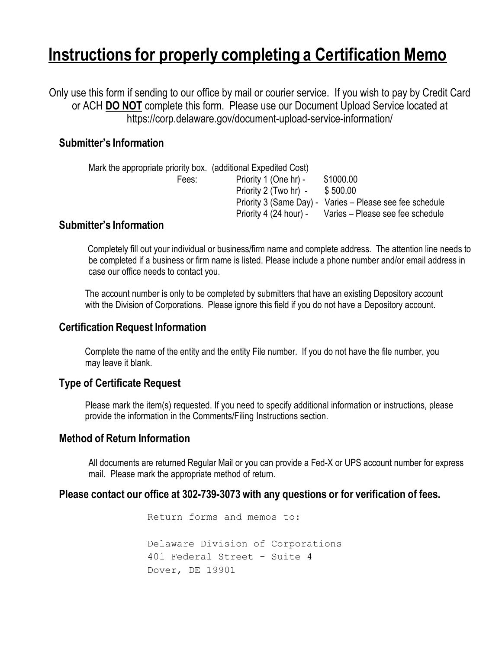# **Instructions for properly completing a Certification Memo**

Only use this form if sending to our office by mail or courier service. If you wish to pay by Credit Card or ACH **DO NOT** complete this form. Please use our Document Upload Service located at https://corp.delaware.gov/document-upload-service-information/

# **Submitter's Information**

| Priority 1 (One hr) -  | \$1000.00                                                      |
|------------------------|----------------------------------------------------------------|
| Priority 2 (Two hr) -  | \$500.00                                                       |
|                        | Priority 3 (Same Day) - Varies - Please see fee schedule       |
| Priority 4 (24 hour) - | Varies – Please see fee schedule                               |
|                        | Mark the appropriate priority box. (additional Expedited Cost) |

### **Submitter's Information**

Completely fill out your individual or business/firm name and complete address. The attention line needs to be completed if a business or firm name is listed. Please include a phone number and/or email address in case our office needs to contact you.

The account number is only to be completed by submitters that have an existing Depository account with the Division of Corporations. Please ignore this field if you do not have a Depository account.

#### **Certification Request Information**

Complete the name of the entity and the entity File number. If you do not have the file number, you may leave it blank.

# **Type of Certificate Request**

Please mark the item(s) requested. If you need to specify additional information or instructions, please provide the information in the Comments/Filing Instructions section.

#### **Method of Return Information**

All documents are returned Regular Mail or you can provide a Fed-X or UPS account number for express mail. Please mark the appropriate method of return.

#### **Please contact our office at 302-739-3073 with any questions or for verification of fees.**

Return forms and memos to: Delaware Division of Corporations 401 Federal Street - Suite 4 Dover, DE 19901